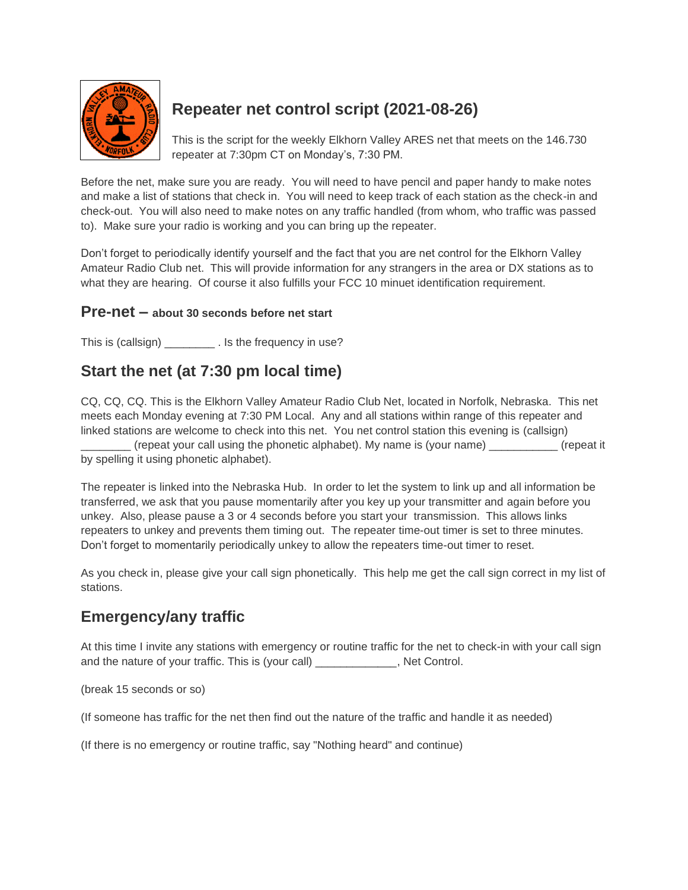

# **Repeater net control script (2021-08-26)**

This is the script for the weekly Elkhorn Valley ARES net that meets on the 146.730 repeater at 7:30pm CT on Monday's, 7:30 PM.

Before the net, make sure you are ready. You will need to have pencil and paper handy to make notes and make a list of stations that check in. You will need to keep track of each station as the check-in and check-out. You will also need to make notes on any traffic handled (from whom, who traffic was passed to). Make sure your radio is working and you can bring up the repeater.

Don't forget to periodically identify yourself and the fact that you are net control for the Elkhorn Valley Amateur Radio Club net. This will provide information for any strangers in the area or DX stations as to what they are hearing. Of course it also fulfills your FCC 10 minuet identification requirement.

#### **Pre-net – about 30 seconds before net start**

This is (callsign) This is (callsign)

## **Start the net (at 7:30 pm local time)**

CQ, CQ, CQ. This is the Elkhorn Valley Amateur Radio Club Net, located in Norfolk, Nebraska. This net meets each Monday evening at 7:30 PM Local. Any and all stations within range of this repeater and linked stations are welcome to check into this net. You net control station this evening is (callsign) \_\_\_\_\_\_\_\_ (repeat your call using the phonetic alphabet). My name is (your name) \_\_\_\_\_\_\_\_\_\_\_ (repeat it

by spelling it using phonetic alphabet).

The repeater is linked into the Nebraska Hub. In order to let the system to link up and all information be transferred, we ask that you pause momentarily after you key up your transmitter and again before you unkey. Also, please pause a 3 or 4 seconds before you start your transmission. This allows links repeaters to unkey and prevents them timing out. The repeater time-out timer is set to three minutes. Don't forget to momentarily periodically unkey to allow the repeaters time-out timer to reset.

As you check in, please give your call sign phonetically. This help me get the call sign correct in my list of stations.

## **Emergency/any traffic**

At this time I invite any stations with emergency or routine traffic for the net to check-in with your call sign and the nature of your traffic. This is (your call) \_\_\_\_\_\_\_\_\_\_\_\_\_, Net Control.

(break 15 seconds or so)

(If someone has traffic for the net then find out the nature of the traffic and handle it as needed)

(If there is no emergency or routine traffic, say "Nothing heard" and continue)